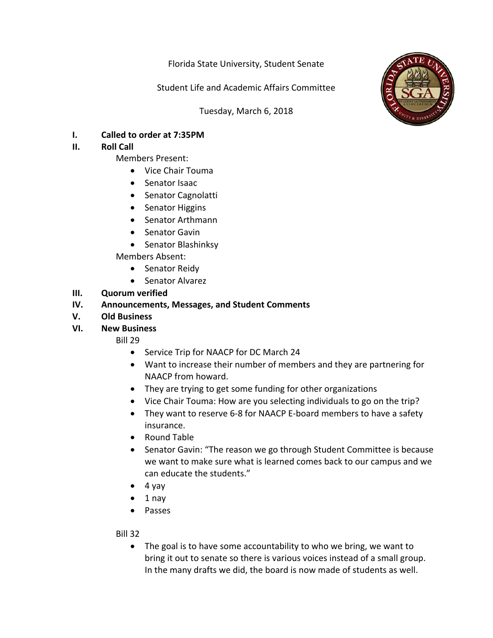Florida State University, Student Senate

Student Life and Academic Affairs Committee

Tuesday, March 6, 2018



**I. Called to order at 7:35PM**

# **II.** Roll Call

- Members Present:
	- Vice Chair Touma
	- Senator Isaac
	- Senator Cagnolatti
	- Senator Higgins
	- Senator Arthmann
	- Senator Gavin
	- Senator Blashinksy

Members Absent: 

- Senator Reidy
- Senator Alvarez

## **III. Quorum** verified

## **IV.** Announcements, Messages, and Student Comments

**V. Old Business**

#### **VI. New Business**

Bill 29

- Service Trip for NAACP for DC March 24
- Want to increase their number of members and they are partnering for NAACP from howard.
- They are trying to get some funding for other organizations
- Vice Chair Touma: How are you selecting individuals to go on the trip?
- They want to reserve 6-8 for NAACP E-board members to have a safety insurance.
- Round Table
- Senator Gavin: "The reason we go through Student Committee is because we want to make sure what is learned comes back to our campus and we can educate the students."
- $\bullet$  4 yay
- $\bullet$  1 nay
- Passes

Bill 32

• The goal is to have some accountability to who we bring, we want to bring it out to senate so there is various voices instead of a small group. In the many drafts we did, the board is now made of students as well.